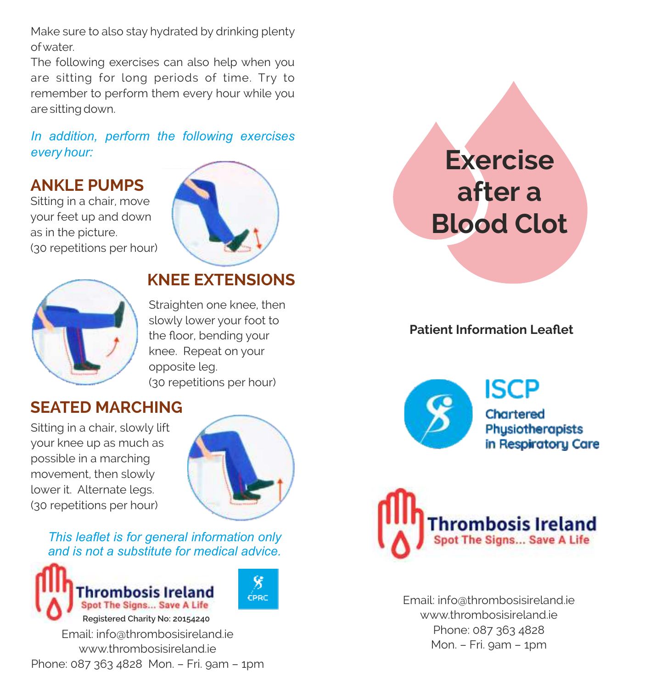Make sure to also stay hydrated by drinking plenty ofwater.

The following exercises can also help when you are sitting for long periods of time. Try to remember to perform them every hour while you are sitting down.

#### *In addition, perform the following exercises every hour:*

# **ANKLE PUMPS**

Sitting in a chair, move your feet up and down as in the picture. (30 repetitions per hour)





## **KNEE EXTENSIONS**

Straighten one knee, then slowly lower your foot to the floor, bending your knee. Repeat on your opposite leg. (30 repetitions per hour)

# **SEATED MARCHING**

Sitting in a chair, slowly lift your knee up as much as possible in a marching movement, then slowly lower it. Alternate legs. (30 repetitions per hour)



Ÿ

**CPRC** 

*This leaflet is for general information only and is not a substitute for medical advice.*



www.thrombosisireland.ie Phone: 087 363 4828 Mon. – Fri. 9am – 1pm

# **Exercise after a Blood Clot**

### **Patient Information Leaflet**



**ISCP** 

Chartered Physiotherapists in Respiratory Care



Email: info@thrombosisireland.ie www.thrombosisireland.je Phone: 087 363 4828 Mon. – Fri. 9am – 1pm